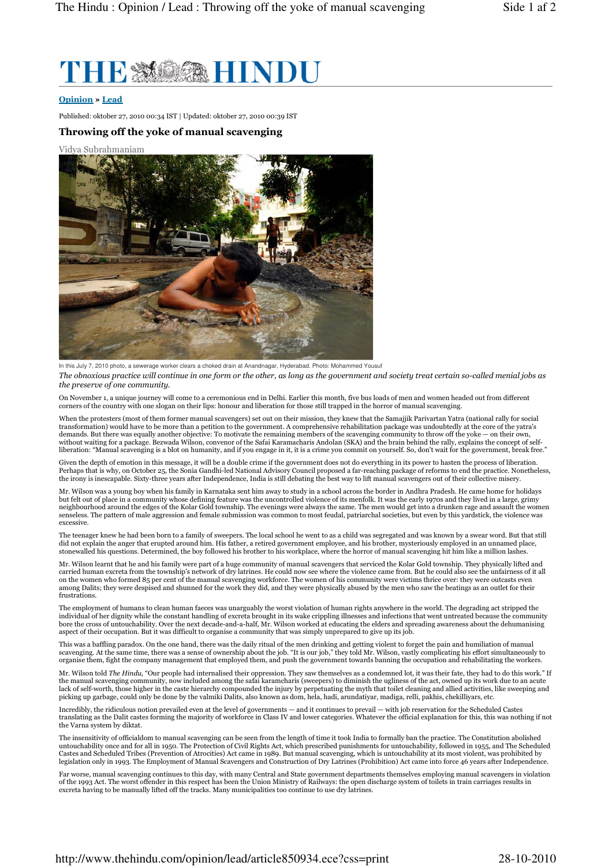

#### Opinion » Lead

Published: oktober 27, 2010 00:34 IST | Updated: oktober 27, 2010 00:39 IST

#### Throwing off the yoke of manual scavenging

#### Vidya Subrahmaniam



In this July 7, 2010 photo, a sewerage worker clears a choked drain at Anandnagar, Hyderabad. Photo: Mohammed Yousuf

The obnoxious practice will continue in one form or the other, as long as the government and society treat certain so-called menial jobs as the preserve of one community.

On November 1, a unique journey will come to a ceremonious end in Delhi. Earlier this month, five bus loads of men and women headed out from different corners of the country with one slogan on their lips: honour and liberation for those still trapped in the horror of manual scavenging.

When the protesters (most of them former manual scavengers) set out on their mission, they knew that the Samajjik Parivartan Yatra (national rally for social transformation) would have to be more than a petition to the government. A comprehensive rehabilitation package was undoubtedly at the core of the yatra's demands. But there was equally another objective: To motivate the remaining members of the scavenging community to throw off the yoke — on their own, without waiting for a package. Bezwada Wilson, convenor of the Safai Karamacharis Andolan (SKA) and the brain behind the rally, explains the concept of selfliberation: "Manual scavenging is a blot on humanity, and if you engage in it, it is a crime you commit on yourself. So, don't wait for the government, break free.

Given the depth of emotion in this message, it will be a double crime if the government does not do everything in its power to hasten the process of liberation. Perhaps that is why, on October 25, the Sonia Gandhi-led National Advisory Council proposed a far-reaching package of reforms to end the practice. Nonetheless,<br>the irony is inescapable. Sixty-three years after Independence

Mr. Wilson was a young boy when his family in Karnataka sent him away to study in a school across the border in Andhra Pradesh. He came home for holidays but felt out of place in a community whose defining feature was the uncontrolled violence of its menfolk. It was the early 1970s and they lived in a large, grimy neighbourhood around the edges of the Kolar Gold township. The evenings were always the same. The men would get into a drunken rage and assault the women senseless. The pattern of male aggression and female submission was common to most feudal, patriarchal societies, but even by this yardstick, the violence was excessive.

The teenager knew he had been born to a family of sweepers. The local school he went to as a child was segregated and was known by a swear word. But that still<br>did not explain the anger that erupted around him. His father,

Mr. Wilson learnt that he and his family were part of a huge community of manual scavengers that serviced the Kolar Gold township. They physically lifted and<br>carried human excreta from the township's network of dry latrine on the women who formed 85 per cent of the manual scavenging workforce. The women of his community were victims thrice over: they were outcasts even among Dalits; they were despised and shunned for the work they did, and they were physically abused by the men who saw the beatings as an outlet for their frustrations.

The employment of humans to clean human faeces was unarguably the worst violation of human rights anywhere in the world. The degrading act stripped the individual of her dignity while the constant handling of excreta brought in its wake crippling illnesses and infections that went untreated because the community<br>bore the cross of untouchability. Over the next decade-and-a aspect of their occupation. But it was difficult to organise a community that was simply unprepared to give up its job.

This was a baffling paradox. On the one hand, there was the daily ritual of the men drinking and getting violent to forget the pain and humiliation of manual<br>scavenging. At the same time, there was a sense of ownership abo organise them, fight the company management that employed them, and push the government towards banning the occupation and rehabilitating the workers.

Mr. Wilson told The Hindu, "Our people had internalised their oppression. They saw themselves as a condemned lot, it was their fate, they had to do this work." If the manual scavenging community, now included among the safai karamcharis (sweepers) to diminish the ugliness of the act, owned up its work due to an acute lack of self-worth, those higher in the caste hierarchy compounded the injury by perpetuating the myth that toilet cleaning and allied activities, like sweeping and picking up garbage, could only be done by the valmiki Dalits, also known as dom, hela, hadi, arundatiyar, madiga, relli, pakhis, chekilliyars, etc.

Incredibly, the ridiculous notion prevailed even at the level of governments — and it continues to prevail — with job reservation for the Scheduled Castes<br>translating as the Dalit castes forming the majority of workforce i the Varna system by diktat.

The insensitivity of officialdom to manual scavenging can be seen from the length of time it took India to formally ban the practice. The Constitution abolished untouchability once and for all in 1950. The Protection of Civil Rights Act, which prescribed punishments for untouchability, followed in 1955, and The Scheduled<br>Castes and Scheduled Tribes (Prevention of Atrocities) Act c legislation only in 1993. The Employment of Manual Scavengers and Construction of Dry Latrines (Prohibition) Act came into force 46 years after Independence.

Far worse, manual scavenging continues to this day, with many Central and State government departments themselves employing manual scavengers in violation of the 1993 Act. The worst offender in this respect has been the Union Ministry of Railways: the open discharge system of toilets in train carriages results in excreta having to be manually lifted off the tracks. Many municipalities too continue to use dry latrines.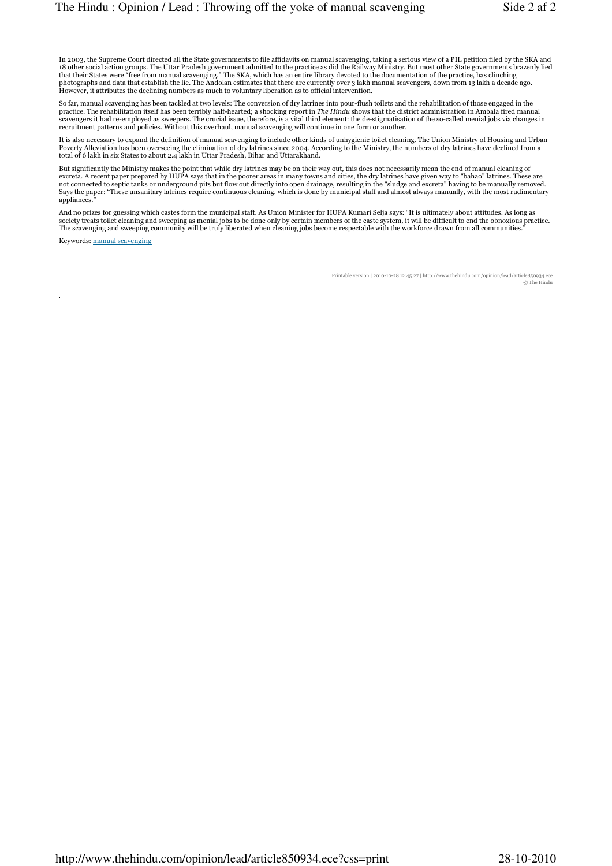In 2003, the Supreme Court directed all the State governments to file affidavits on manual scavenging, taking a serious view of a PIL petition filed by the SKA and<br>18 other social action groups. The Uttar Pradesh governmen that their States were "free from manual scavenging." The SKA, which has an entire library devoted to the documentation of the practice, has clinching<br>photographs and data that establish the lie. The Andolan estimates that However, it attributes the declining numbers as much to voluntary liberation as to official intervention.

So far, manual scavenging has been tackled at two levels: The conversion of dry latrines into pour-flush toilets and the rehabilitation of those engaged in the practice. The rehabilitation itself has been terribly half-hearted; a shocking report in *The Hindu* shows that the district administration in Ambala fired manual<br>scavengers it had re-employed as sweepers. The crucial issu

It is also necessary to expand the definition of manual scavenging to include other kinds of unhygienic toilet cleaning. The Union Ministry of Housing and Urban<br>Poverty Alleviation has been overseeing the elimination of dr

But significantly the Ministry makes the point that while dry latrines may be on their way out, this does not necessarily mean the end of manual cleaning of<br>excreta. A recent paper prepared by HUPA says that in the poorer not connected to septic tanks or underground pits but flow out directly into open drainage, resulting in the "sludge and excreta" having to be manually removed. Says the paper: "These unsanitary latrines require continuous cleaning, which is done by municipal staff and almost always manually, with the most rudimentary appliances.

And no prizes for guessing which castes form the municipal staff. As Union Minister for HUPA Kumari Selja says: "It is ultimately about attitudes. As long as<br>society treats toilet cleaning and sweeping as menial jobs to be

Keywords: manual scavenging

Printable version | 2010-10-28 12:45:27 | http://www.thehindu.com/opinion/lead/article850934.ece © The Hindu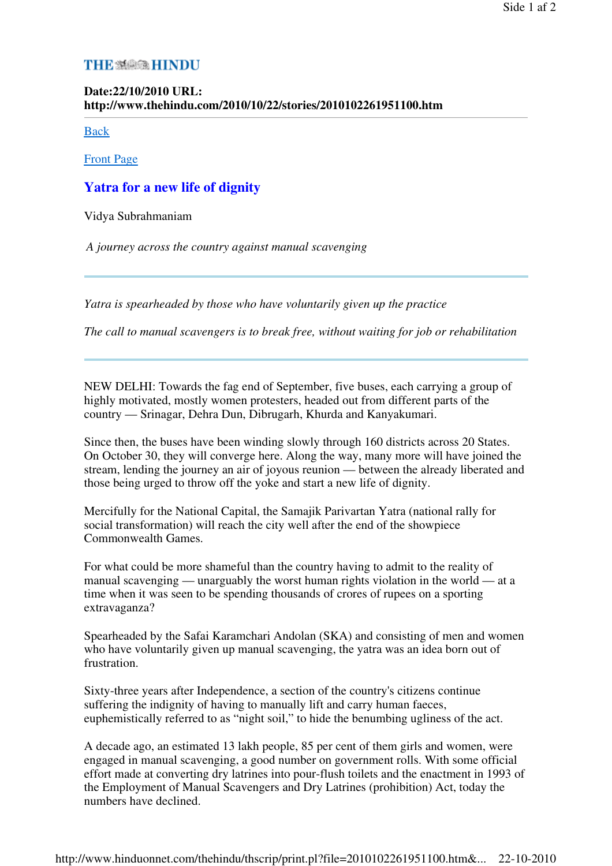# **THE SEE RINDU**

## **Date:22/10/2010 URL: http://www.thehindu.com/2010/10/22/stories/2010102261951100.htm**

Back

Front Page

# **Yatra for a new life of dignity**

Vidya Subrahmaniam

*A journey across the country against manual scavenging* 

*Yatra is spearheaded by those who have voluntarily given up the practice* 

*The call to manual scavengers is to break free, without waiting for job or rehabilitation* 

NEW DELHI: Towards the fag end of September, five buses, each carrying a group of highly motivated, mostly women protesters, headed out from different parts of the country — Srinagar, Dehra Dun, Dibrugarh, Khurda and Kanyakumari.

Since then, the buses have been winding slowly through 160 districts across 20 States. On October 30, they will converge here. Along the way, many more will have joined the stream, lending the journey an air of joyous reunion — between the already liberated and those being urged to throw off the yoke and start a new life of dignity.

Mercifully for the National Capital, the Samajik Parivartan Yatra (national rally for social transformation) will reach the city well after the end of the showpiece Commonwealth Games.

For what could be more shameful than the country having to admit to the reality of manual scavenging — unarguably the worst human rights violation in the world — at a time when it was seen to be spending thousands of crores of rupees on a sporting extravaganza?

Spearheaded by the Safai Karamchari Andolan (SKA) and consisting of men and women who have voluntarily given up manual scavenging, the yatra was an idea born out of frustration.

Sixty-three years after Independence, a section of the country's citizens continue suffering the indignity of having to manually lift and carry human faeces, euphemistically referred to as "night soil," to hide the benumbing ugliness of the act.

A decade ago, an estimated 13 lakh people, 85 per cent of them girls and women, were engaged in manual scavenging, a good number on government rolls. With some official effort made at converting dry latrines into pour-flush toilets and the enactment in 1993 of the Employment of Manual Scavengers and Dry Latrines (prohibition) Act, today the numbers have declined.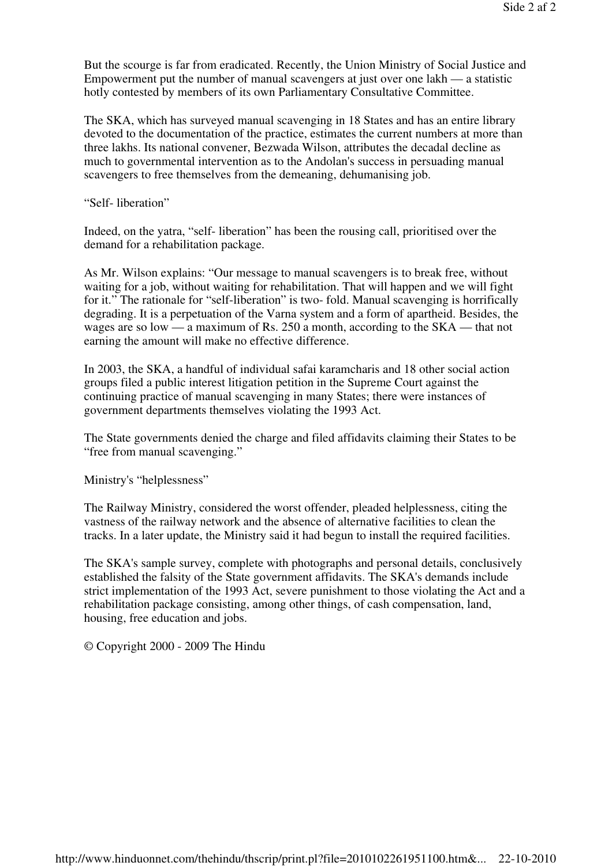But the scourge is far from eradicated. Recently, the Union Ministry of Social Justice and Empowerment put the number of manual scavengers at just over one lakh — a statistic hotly contested by members of its own Parliamentary Consultative Committee.

The SKA, which has surveyed manual scavenging in 18 States and has an entire library devoted to the documentation of the practice, estimates the current numbers at more than three lakhs. Its national convener, Bezwada Wilson, attributes the decadal decline as much to governmental intervention as to the Andolan's success in persuading manual scavengers to free themselves from the demeaning, dehumanising job.

"Self- liberation"

Indeed, on the yatra, "self- liberation" has been the rousing call, prioritised over the demand for a rehabilitation package.

As Mr. Wilson explains: "Our message to manual scavengers is to break free, without waiting for a job, without waiting for rehabilitation. That will happen and we will fight for it." The rationale for "self-liberation" is two- fold. Manual scavenging is horrifically degrading. It is a perpetuation of the Varna system and a form of apartheid. Besides, the wages are so low — a maximum of Rs. 250 a month, according to the SKA — that not earning the amount will make no effective difference.

In 2003, the SKA, a handful of individual safai karamcharis and 18 other social action groups filed a public interest litigation petition in the Supreme Court against the continuing practice of manual scavenging in many States; there were instances of government departments themselves violating the 1993 Act.

The State governments denied the charge and filed affidavits claiming their States to be "free from manual scavenging."

Ministry's "helplessness"

The Railway Ministry, considered the worst offender, pleaded helplessness, citing the vastness of the railway network and the absence of alternative facilities to clean the tracks. In a later update, the Ministry said it had begun to install the required facilities.

The SKA's sample survey, complete with photographs and personal details, conclusively established the falsity of the State government affidavits. The SKA's demands include strict implementation of the 1993 Act, severe punishment to those violating the Act and a rehabilitation package consisting, among other things, of cash compensation, land, housing, free education and jobs.

© Copyright 2000 - 2009 The Hindu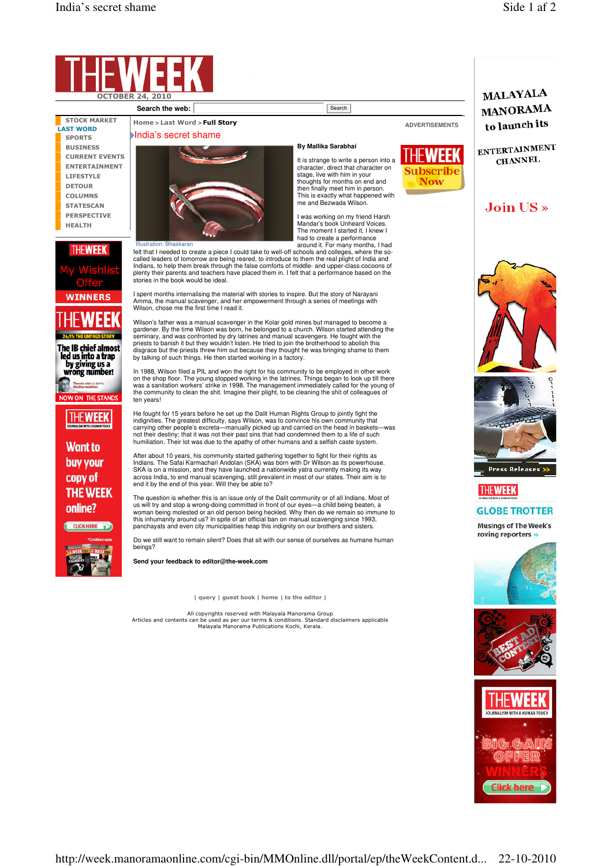**Click here** 



http://week.manoramaonline.com/cgi-bin/MMOnline.dll/portal/ep/theWeekContent.d... 22-10-2010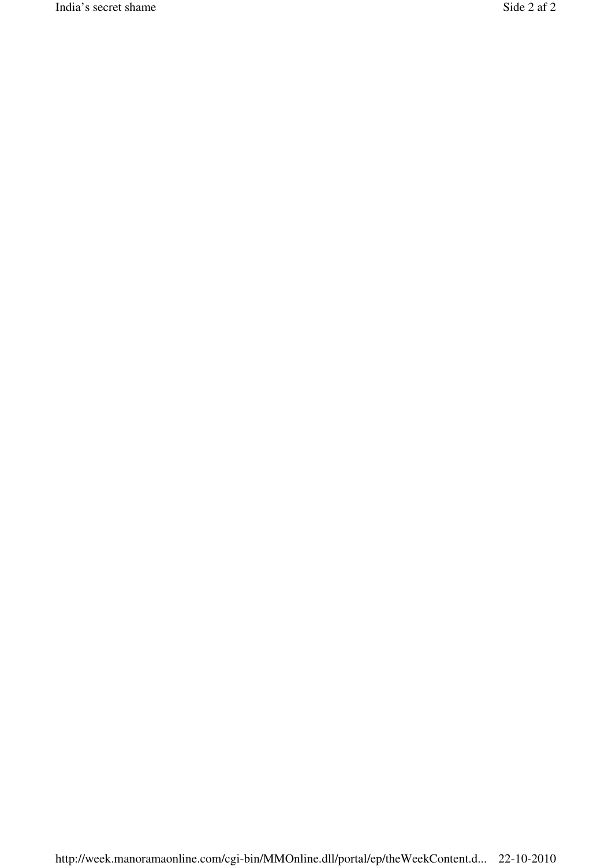India's secret shame Side 2 af 2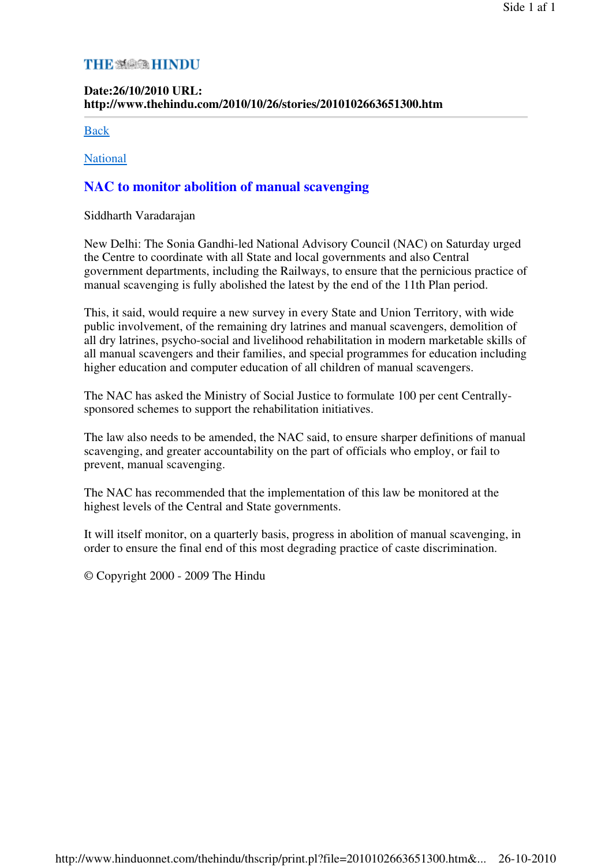# **THE SEE REINDU**

# **Date:26/10/2010 URL: http://www.thehindu.com/2010/10/26/stories/2010102663651300.htm**

Back

National

# **NAC to monitor abolition of manual scavenging**

Siddharth Varadarajan

New Delhi: The Sonia Gandhi-led National Advisory Council (NAC) on Saturday urged the Centre to coordinate with all State and local governments and also Central government departments, including the Railways, to ensure that the pernicious practice of manual scavenging is fully abolished the latest by the end of the 11th Plan period.

This, it said, would require a new survey in every State and Union Territory, with wide public involvement, of the remaining dry latrines and manual scavengers, demolition of all dry latrines, psycho-social and livelihood rehabilitation in modern marketable skills of all manual scavengers and their families, and special programmes for education including higher education and computer education of all children of manual scavengers.

The NAC has asked the Ministry of Social Justice to formulate 100 per cent Centrallysponsored schemes to support the rehabilitation initiatives.

The law also needs to be amended, the NAC said, to ensure sharper definitions of manual scavenging, and greater accountability on the part of officials who employ, or fail to prevent, manual scavenging.

The NAC has recommended that the implementation of this law be monitored at the highest levels of the Central and State governments.

It will itself monitor, on a quarterly basis, progress in abolition of manual scavenging, in order to ensure the final end of this most degrading practice of caste discrimination.

© Copyright 2000 - 2009 The Hindu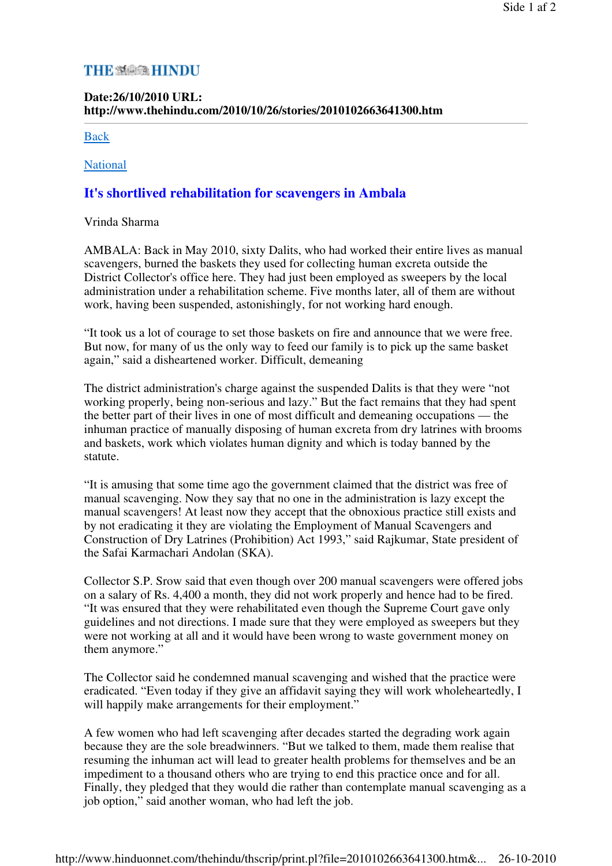## **THE ※金金 HINDU**

### **Date:26/10/2010 URL: http://www.thehindu.com/2010/10/26/stories/2010102663641300.htm**

Back

National

## **It's shortlived rehabilitation for scavengers in Ambala**

Vrinda Sharma

AMBALA: Back in May 2010, sixty Dalits, who had worked their entire lives as manual scavengers, burned the baskets they used for collecting human excreta outside the District Collector's office here. They had just been employed as sweepers by the local administration under a rehabilitation scheme. Five months later, all of them are without work, having been suspended, astonishingly, for not working hard enough.

"It took us a lot of courage to set those baskets on fire and announce that we were free. But now, for many of us the only way to feed our family is to pick up the same basket again," said a disheartened worker. Difficult, demeaning

The district administration's charge against the suspended Dalits is that they were "not working properly, being non-serious and lazy." But the fact remains that they had spent the better part of their lives in one of most difficult and demeaning occupations — the inhuman practice of manually disposing of human excreta from dry latrines with brooms and baskets, work which violates human dignity and which is today banned by the statute.

"It is amusing that some time ago the government claimed that the district was free of manual scavenging. Now they say that no one in the administration is lazy except the manual scavengers! At least now they accept that the obnoxious practice still exists and by not eradicating it they are violating the Employment of Manual Scavengers and Construction of Dry Latrines (Prohibition) Act 1993," said Rajkumar, State president of the Safai Karmachari Andolan (SKA).

Collector S.P. Srow said that even though over 200 manual scavengers were offered jobs on a salary of Rs. 4,400 a month, they did not work properly and hence had to be fired. "It was ensured that they were rehabilitated even though the Supreme Court gave only guidelines and not directions. I made sure that they were employed as sweepers but they were not working at all and it would have been wrong to waste government money on them anymore."

The Collector said he condemned manual scavenging and wished that the practice were eradicated. "Even today if they give an affidavit saying they will work wholeheartedly, I will happily make arrangements for their employment."

A few women who had left scavenging after decades started the degrading work again because they are the sole breadwinners. "But we talked to them, made them realise that resuming the inhuman act will lead to greater health problems for themselves and be an impediment to a thousand others who are trying to end this practice once and for all. Finally, they pledged that they would die rather than contemplate manual scavenging as a job option," said another woman, who had left the job.